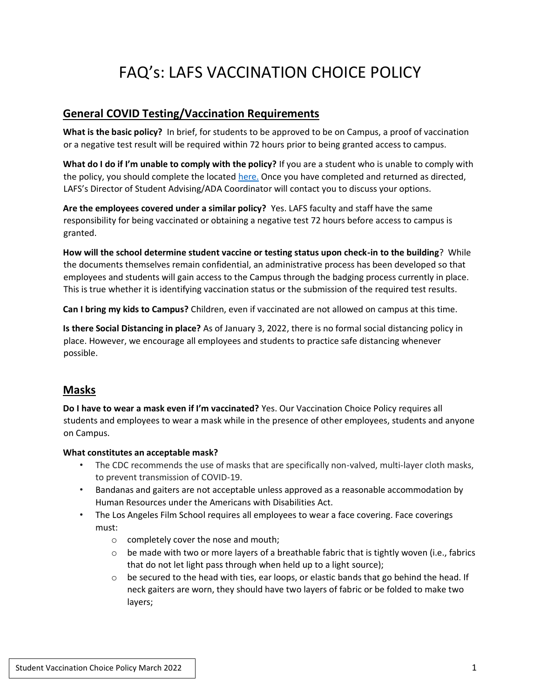# FAQ's: LAFS VACCINATION CHOICE POLICY

# **General COVID Testing/Vaccination Requirements**

**What is the basic policy?** In brief, for students to be approved to be on Campus, a proof of vaccination or a negative test result will be required within 72 hours prior to being granted access to campus.

**What do I do if I'm unable to comply with the policy?** If you are a student who is unable to comply with the policy, you should complete the located here. Once you have completed and returned as directed, LAFS's Director of Student Advising/ADA Coordinator will contact you to discuss your options.

**Are the employees covered under a similar policy?** Yes. LAFS faculty and staff have the same responsibility for being vaccinated or obtaining a negative test 72 hours before access to campus is granted.

**How will the school determine student vaccine or testing status upon check-in to the building**? While the documents themselves remain confidential, an administrative process has been developed so that employees and students will gain access to the Campus through the badging process currently in place. This is true whether it is identifying vaccination status or the submission of the required test results.

**Can I bring my kids to Campus?** Children, even if vaccinated are not allowed on campus at this time.

**Is there Social Distancing in place?** As of January 3, 2022, there is no formal social distancing policy in place. However, we encourage all employees and students to practice safe distancing whenever possible.

### **Masks**

**Do I have to wear a mask even if I'm vaccinated?** Yes. Our Vaccination Choice Policy requires all students and employees to wear a mask while in the presence of other employees, students and anyone on Campus.

#### **What constitutes an acceptable mask?**

- The CDC recommends the use of masks that are specifically non-valved, multi-layer cloth masks, to prevent transmission of COVID-19.
- Bandanas and gaiters are not acceptable unless approved as a reasonable accommodation by Human Resources under the Americans with Disabilities Act.
- The Los Angeles Film School requires all employees to wear a face covering. Face coverings must:
	- o completely cover the nose and mouth;
	- $\circ$  be made with two or more layers of a breathable fabric that is tightly woven (i.e., fabrics that do not let light pass through when held up to a light source);
	- $\circ$  be secured to the head with ties, ear loops, or elastic bands that go behind the head. If neck gaiters are worn, they should have two layers of fabric or be folded to make two layers;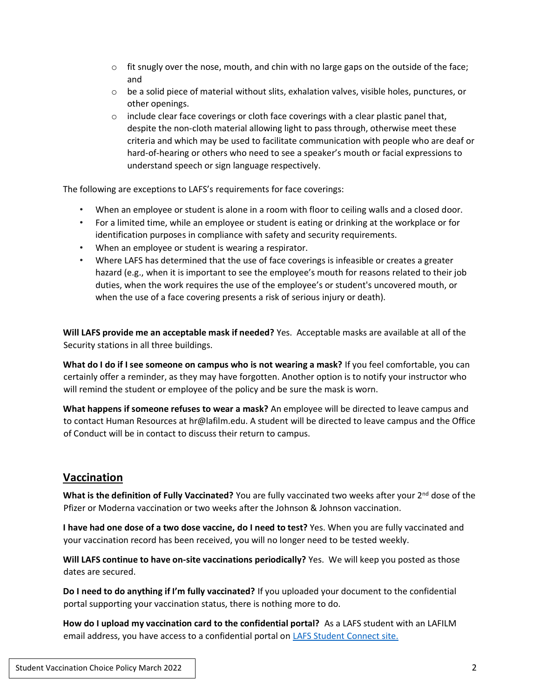- $\circ$  fit snugly over the nose, mouth, and chin with no large gaps on the outside of the face; and
- $\circ$  be a solid piece of material without slits, exhalation valves, visible holes, punctures, or other openings.
- $\circ$  include clear face coverings or cloth face coverings with a clear plastic panel that, despite the non-cloth material allowing light to pass through, otherwise meet these criteria and which may be used to facilitate communication with people who are deaf or hard-of-hearing or others who need to see a speaker's mouth or facial expressions to understand speech or sign language respectively.

The following are exceptions to LAFS's requirements for face coverings:

- When an employee or student is alone in a room with floor to ceiling walls and a closed door.
- For a limited time, while an employee or student is eating or drinking at the workplace or for identification purposes in compliance with safety and security requirements.
- When an employee or student is wearing a respirator.
- Where LAFS has determined that the use of face coverings is infeasible or creates a greater hazard (e.g., when it is important to see the employee's mouth for reasons related to their job duties, when the work requires the use of the employee's or student's uncovered mouth, or when the use of a face covering presents a risk of serious injury or death).

**Will LAFS provide me an acceptable mask if needed?** Yes. Acceptable masks are available at all of the Security stations in all three buildings.

**What do I do if I see someone on campus who is not wearing a mask?** If you feel comfortable, you can certainly offer a reminder, as they may have forgotten. Another option is to notify your instructor who will remind the student or employee of the policy and be sure the mask is worn.

**What happens if someone refuses to wear a mask?** An employee will be directed to leave campus and to contact Human Resources at hr@lafilm.edu. A student will be directed to leave campus and the Office of Conduct will be in contact to discuss their return to campus.

### **Vaccination**

What is the definition of Fully Vaccinated? You are fully vaccinated two weeks after your 2<sup>nd</sup> dose of the Pfizer or Moderna vaccination or two weeks after the Johnson & Johnson vaccination.

**I have had one dose of a two dose vaccine, do I need to test?** Yes. When you are fully vaccinated and your vaccination record has been received, you will no longer need to be tested weekly.

**Will LAFS continue to have on-site vaccinations periodically?** Yes. We will keep you posted as those dates are secured.

**Do I need to do anything if I'm fully vaccinated?** If you uploaded your document to the confidential portal supporting your vaccination status, there is nothing more to do.

**How do I upload my vaccination card to the confidential portal?** As a LAFS student with an LAFILM email address, you have access to a confidential portal on LAFS Student Connect site.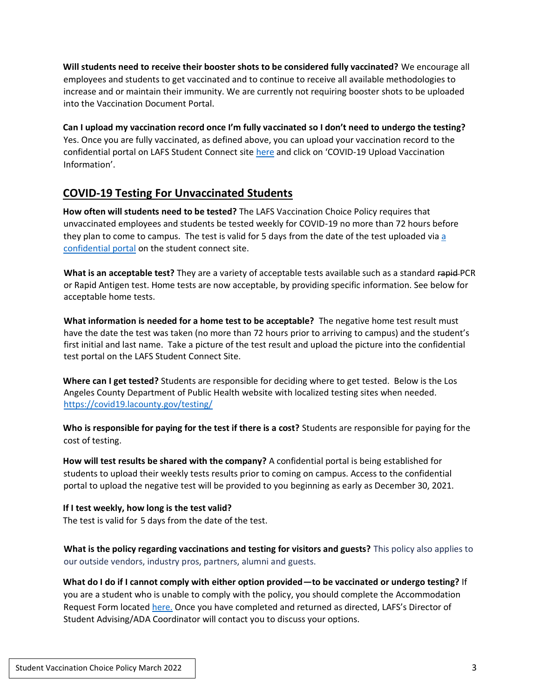**Will students need to receive their booster shots to be considered fully vaccinated?** We encourage all employees and students to get vaccinated and to continue to receive all available methodologies to increase and or maintain their immunity. We are currently not requiring booster shots to be uploaded into the Vaccination Document Portal.

**Can I upload my vaccination record once I'm fully vaccinated so I don't need to undergo the testing?**  Yes. Once you are fully vaccinated, as defined above, you can upload your vaccination record to the confidential portal on LAFS Student Connect site here and click on 'COVID-19 Upload Vaccination Information'.

# **COVID-19 Testing For Unvaccinated Students**

**How often will students need to be tested?** The LAFS Vaccination Choice Policy requires that unvaccinated employees and students be tested weekly for COVID-19 no more than 72 hours before they plan to come to campus. The test is valid for 5 days from the date of the test uploaded via [a](https://click.info.lafilm.edu/?qs=d52d14d2dd5c20864d498db79b30922e262c80d5176fc8b907039bd238faaf661e7e49e6c96d61949a8630e07a2368b7bf9263a6169b5018)  [confidential portal](https://click.info.lafilm.edu/?qs=d52d14d2dd5c20864d498db79b30922e262c80d5176fc8b907039bd238faaf661e7e49e6c96d61949a8630e07a2368b7bf9263a6169b5018) on the student connect site.

**What is an acceptable test?** They are a variety of acceptable tests available such as a standard rapid PCR or Rapid Antigen test. Home tests are now acceptable, by providing specific information. See below for acceptable home tests.

**What information is needed for a home test to be acceptable?** The negative home test result must have the date the test was taken (no more than 72 hours prior to arriving to campus) and the student's first initial and last name. Take a picture of the test result and upload the picture into the confidential test portal on the LAFS Student Connect Site.

**Where can I get tested?** Students are responsible for deciding where to get tested. Below is the Los Angeles County Department of Public Health website with localized testing sites when needed. https://covid19.lacounty.gov/testing/

**Who is responsible for paying for the test if there is a cost?** Students are responsible for paying for the cost of testing.

**How will test results be shared with the company?** A confidential portal is being established for students to upload their weekly tests results prior to coming on campus. Access to the confidential portal to upload the negative test will be provided to you beginning as early as December 30, 2021.

# **If I test weekly, how long is the test valid?**

The test is valid for 5 days from the date of the test.

**What is the policy regarding vaccinations and testing for visitors and guests?** This policy also applies to our outside vendors, industry pros, partners, alumni and guests.

**What do I do if I cannot comply with either option provided—to be vaccinated or undergo testing?** If you are a student who is unable to comply with the policy, you should complete the Accommodation Request Form located here. Once you have completed and returned as directed, LAFS's Director of Student Advising/ADA Coordinator will contact you to discuss your options.